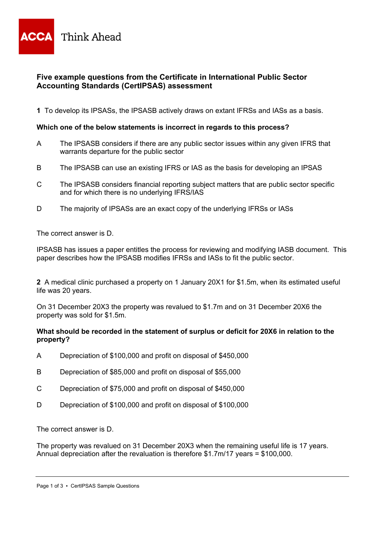

# **Five example questions from the Certificate in International Public Sector Accounting Standards (CertIPSAS) assessment**

**1** To develop its IPSASs, the IPSASB actively draws on extant IFRSs and IASs as a basis.

#### **Which one of the below statements is incorrect in regards to this process?**

- A The IPSASB considers if there are any public sector issues within any given IFRS that warrants departure for the public sector
- B The IPSASB can use an existing IFRS or IAS as the basis for developing an IPSAS
- C The IPSASB considers financial reporting subject matters that are public sector specific and for which there is no underlying IFRS/IAS
- D The majority of IPSASs are an exact copy of the underlying IFRSs or IASs

The correct answer is D.

IPSASB has issues a paper entitles the process for reviewing and modifying IASB document. This paper describes how the IPSASB modifies IFRSs and IASs to fit the public sector.

**2** A medical clinic purchased a property on 1 January 20X1 for \$1.5m, when its estimated useful life was 20 years.

On 31 December 20X3 the property was revalued to \$1.7m and on 31 December 20X6 the property was sold for \$1.5m.

#### **What should be recorded in the statement of surplus or deficit for 20X6 in relation to the property?**

- A Depreciation of \$100,000 and profit on disposal of \$450,000
- B Depreciation of \$85,000 and profit on disposal of \$55,000
- C Depreciation of \$75,000 and profit on disposal of \$450,000
- D Depreciation of \$100,000 and profit on disposal of \$100,000

The correct answer is D.

The property was revalued on 31 December 20X3 when the remaining useful life is 17 years. Annual depreciation after the revaluation is therefore \$1.7m/17 years = \$100,000.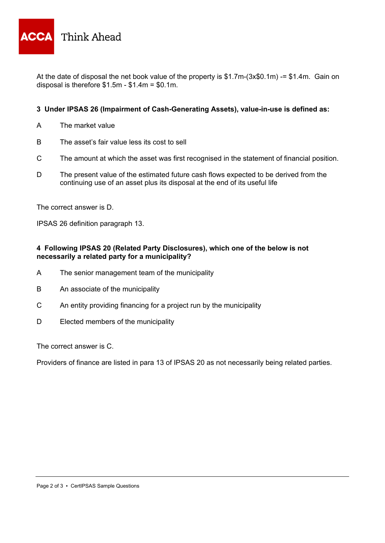

At the date of disposal the net book value of the property is \$1.7m-(3x\$0.1m) -= \$1.4m. Gain on disposal is therefore \$1.5m - \$1.4m = \$0.1m.

## **3 Under IPSAS 26 (Impairment of Cash-Generating Assets), value-in-use is defined as:**

- A The market value
- B The asset's fair value less its cost to sell
- C The amount at which the asset was first recognised in the statement of financial position.
- D The present value of the estimated future cash flows expected to be derived from the continuing use of an asset plus its disposal at the end of its useful life

The correct answer is D.

IPSAS 26 definition paragraph 13.

## **4 Following IPSAS 20 (Related Party Disclosures), which one of the below is not necessarily a related party for a municipality?**

- A The senior management team of the municipality
- B An associate of the municipality
- C An entity providing financing for a project run by the municipality
- D Elected members of the municipality

The correct answer is C.

Providers of finance are listed in para 13 of IPSAS 20 as not necessarily being related parties.